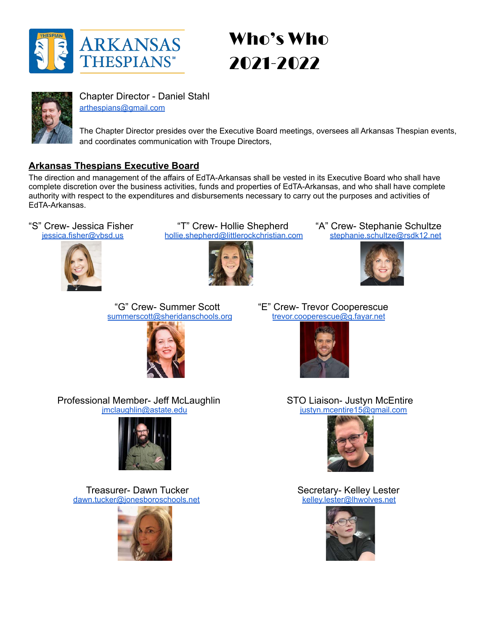

# Who's Who 2021-2022



Chapter Director - Daniel Stahl [arthespians@gmail.com](mailto:arthespians@gmail.com)

The Chapter Director presides over the Executive Board meetings, oversees all Arkansas Thespian events, and coordinates communication with Troupe Directors,

## **Arkansas Thespians Executive Board**

The direction and management of the affairs of EdTA-Arkansas shall be vested in its Executive Board who shall have complete discretion over the business activities, funds and properties of EdTA-Arkansas, and who shall have complete authority with respect to the expenditures and disbursements necessary to carry out the purposes and activities of EdTA-Arkansas.



"S" Crew- Jessica Fisher "T" Crew- Hollie Shepherd "A" Crew- Stephanie Schultze<br>
iessica.fisher@vbsd.us hollie.shepherd@littlerockchristian.com stephanie.schultze@rsdk12.net [hollie.shepherd@littlerockchristian.com](mailto:hollie.shepherd@littlerockchristian.com)





[summerscott@sheridanschools.org](mailto:summerscott@sheridanschools.org)



"G" Crew- Summer Scott "E" Crew- Trevor Cooperescue



Professional Member- Jeff McLaughlin STO Liaison- Justyn McEntire<br>imclaughlin@astate.edu instyn.mcentire15@gmail.com [justyn.mcentire15@gmail.com](mailto:justyn.mcentire15@gmail.com)







Treasurer- Dawn Tucker<br>
<u>Voltaire Secretary- Kelley Lester</u><br>
Secretary- Kelley Lester<br>
<u>Relley lester@lhwolves.net</u> [dawn.tucker@jonesboroschools.net](mailto:dawn.tucker@jonesboroschools.net)

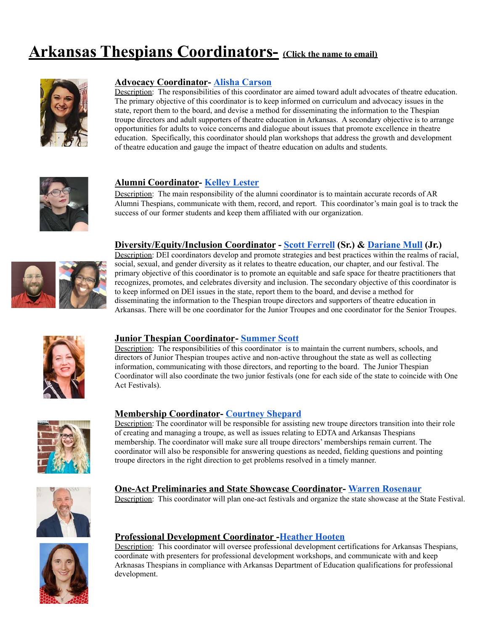## **Arkansas Thespians Coordinators- (Click the name to email)**



#### **Advocacy Coordinator- [Alisha Carson](mailto:acarson@sdale.org)**

Description: The responsibilities of this coordinator are aimed toward adult advocates of theatre education. The primary objective of this coordinator is to keep informed on curriculum and advocacy issues in the state, report them to the board, and devise a method for disseminating the information to the Thespian troupe directors and adult supporters of theatre education in Arkansas. A secondary objective is to arrange opportunities for adults to voice concerns and dialogue about issues that promote excellence in theatre education. Specifically, this coordinator should plan workshops that address the growth and development of theatre education and gauge the impact of theatre education on adults and students.



## **Alumni Coordinator- [Kelley Lester](mailto:kelley.lester@lhwolves.net)**

Description: The main responsibility of the alumni coordinator is to maintain accurate records of AR Alumni Thespians, communicate with them, record, and report. This coordinator's main goal is to track the success of our former students and keep them affiliated with our organization.

#### **Diversity/Equity/Inclusion Coordinator - [Scott Ferrell](mailto:sferrell@blythevilleschools.net) (Sr.) & [Dariane Mull](mailto:dariane.mull@lrsd.org) (Jr.)**



Description: DEI coordinators develop and promote strategies and best practices within the realms of racial, social, sexual, and gender diversity as it relates to theatre education, our chapter, and our festival. The primary objective of this coordinator is to promote an equitable and safe space for theatre practitioners that recognizes, promotes, and celebrates diversity and inclusion. The secondary objective of this coordinator is to keep informed on DEI issues in the state, report them to the board, and devise a method for disseminating the information to the Thespian troupe directors and supporters of theatre education in Arkansas. There will be one coordinator for the Junior Troupes and one coordinator for the Senior Troupes.



#### **Junior Thespian Coordinator- [Summer Scott](mailto:summerscott@sheridanschools.org)**

Description: The responsibilities of this coordinator is to maintain the current numbers, schools, and directors of Junior Thespian troupes active and non-active throughout the state as well as collecting information, communicating with those directors, and reporting to the board. The Junior Thespian Coordinator will also coordinate the two junior festivals (one for each side of the state to coincide with One Act Festivals).



#### **Membership Coordinator- [Courtney Shepard](mailto:courtney.shepard@cps.k12.ar.us)**

Description: The coordinator will be responsible for assisting new troupe directors transition into their role of creating and managing a troupe, as well as issues relating to EDTA and Arkansas Thespians membership. The coordinator will make sure all troupe directors' memberships remain current. The coordinator will also be responsible for answering questions as needed, fielding questions and pointing troupe directors in the right direction to get problems resolved in a timely manner.



#### **One-Act Preliminaries and State Showcase Coordinator- [Warren Rosenaur](mailto:wwrosenaur@gmail.com)**

Description: This coordinator will plan one-act festivals and organize the state showcase at the State Festival.



#### **Professional Development Coordinator -[Heather Hooten](mailto:hootenh@sccsd.k12.ar.us)**

Description: This coordinator will oversee professional development certifications for Arkansas Thespians, coordinate with presenters for professional development workshops, and communicate with and keep Arknasas Thespians in compliance with Arkansas Department of Education qualifications for professional development.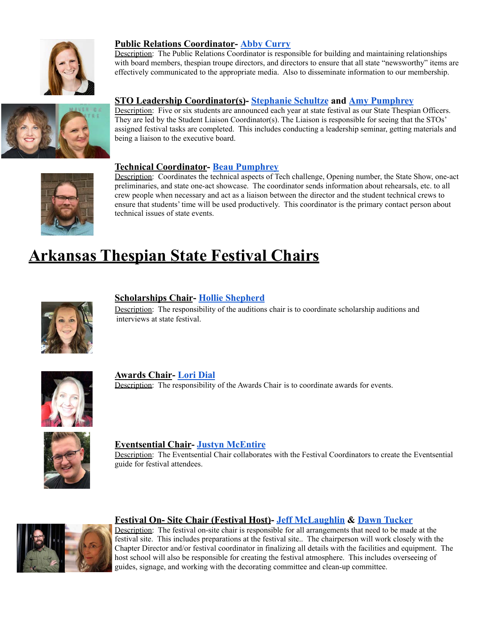

## **Public Relations Coordinator- [Abby Curry](mailto:abby.curry@littlerockchristian.com)**

Description: The Public Relations Coordinator is responsible for building and maintaining relationships with board members, thespian troupe directors, and directors to ensure that all state "newsworthy" items are effectively communicated to the appropriate media. Also to disseminate information to our membership.



## **STO Leadership Coordinator(s)- [Stephanie Schultze](mailto:stephanie.schultze@rsdk12.net) and [Amy Pumphrey](mailto:apumphre@fortsmithschools.org)**

Description: Five or six students are announced each year at state festival as our State Thespian Officers. They are led by the Student Liaison Coordinator(s). The Liaison is responsible for seeing that the STOs' assigned festival tasks are completed. This includes conducting a leadership seminar, getting materials and being a liaison to the executive board.



#### **Technical Coordinator- [Beau Pumphrey](mailto:bpumphre@fortsmithschools.org)**

Description: Coordinates the technical aspects of Tech challenge, Opening number, the State Show, one-act preliminaries, and state one-act showcase. The coordinator sends information about rehearsals, etc. to all crew people when necessary and act as a liaison between the director and the student technical crews to ensure that students' time will be used productively. This coordinator is the primary contact person about technical issues of state events.

## **Arkansas Thespian State Festival Chairs**



## **Scholarships Chair- [Hollie Shepherd](mailto:hollie.shepherd@littlerockchristian.com)**

Description: The responsibility of the auditions chair is to coordinate scholarship auditions and interviews at state festival.



**Awards Chair- [Lori Dial](mailto:lori.dial@gctschools.net)** Description: The responsibility of the Awards Chair is to coordinate awards for events.



**Eventsential Chair- [Justyn McEntire](mailto:justyn.mcentire15@gmail.com)**

Description: The Eventsential Chair collaborates with the Festival Coordinators to create the Eventsential guide for festival attendees.



#### **Festival On- Site Chair (Festival Host)- [Jeff McLaughlin](mailto:jmclaughlin@astate.edu) & [Dawn Tucker](mailto:dawn.tucker@jonesboroschools.net)**

Description: The festival on-site chair is responsible for all arrangements that need to be made at the festival site. This includes preparations at the festival site.. The chairperson will work closely with the Chapter Director and/or festival coordinator in finalizing all details with the facilities and equipment. The host school will also be responsible for creating the festival atmosphere. This includes overseeing of guides, signage, and working with the decorating committee and clean-up committee.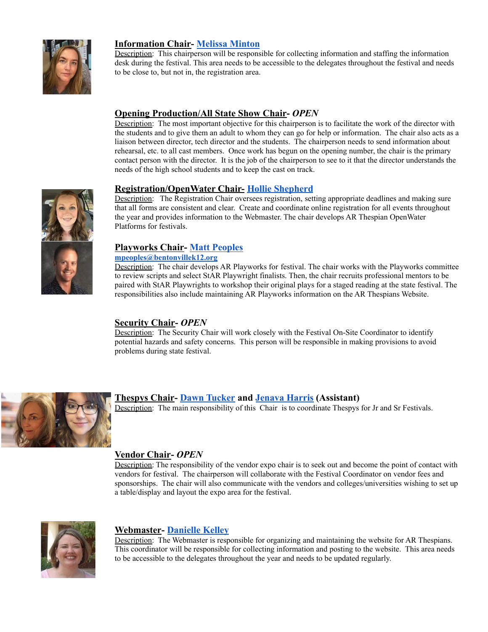

#### **Information Chair- [Melissa Minton](mailto:Melissa.Minton@rpsar.net)**

Description: This chairperson will be responsible for collecting information and staffing the information desk during the festival. This area needs to be accessible to the delegates throughout the festival and needs to be close to, but not in, the registration area.

#### **Opening Production/All State Show Chair-** *OPEN* Description: The most important objective for this chairperson is to facilitate the work of the director with

the students and to give them an adult to whom they can go for help or information. The chair also acts as a liaison between director, tech director and the students. The chairperson needs to send information about rehearsal, etc. to all cast members. Once work has begun on the opening number, the chair is the primary contact person with the director. It is the job of the chairperson to see to it that the director understands the needs of the high school students and to keep the cast on track.

#### **Registration/OpenWater Chair- [Hollie Shepherd](mailto:hollie.shepherd@littlerockchristian.com)**

Description: The Registration Chair oversees registration, setting appropriate deadlines and making sure that all forms are consistent and clear. Create and coordinate online registration for all events throughout the year and provides information to the Webmaster. The chair develops AR Thespian OpenWater Platforms for festivals.

#### **Playworks Chair- [Matt Peoples](mailto:mpeoples@bentonvillek12.org)**

#### **[mpeoples@bentonvillek12.org](mailto:mpeoples@bentonvillek12.org)**

Description: The chair develops AR Playworks for festival. The chair works with the Playworks committee to review scripts and select StAR Playwright finalists. Then, the chair recruits professional mentors to be paired with StAR Playwrights to workshop their original plays for a staged reading at the state festival. The responsibilities also include maintaining AR Playworks information on the AR Thespians Website.

## **Security Chair-** *OPEN*

Description: The Security Chair will work closely with the Festival On-Site Coordinator to identify potential hazards and safety concerns. This person will be responsible in making provisions to avoid problems during state festival.



## **Thespys Chair- [Dawn Tucker](mailto:dawn.tucker@jonesboroschools.net) and [Jenava Harris](mailto:jenava.harris@csdar.org) (Assistant)**

Description: The main responsibility of this Chair is to coordinate Thespys for Jr and Sr Festivals.

## **Vendor Chair-** *OPEN*

Description: The responsibility of the vendor expo chair is to seek out and become the point of contact with vendors for festival. The chairperson will collaborate with the Festival Coordinator on vendor fees and sponsorships. The chair will also communicate with the vendors and colleges/universities wishing to set up a table/display and layout the expo area for the festival.



## **Webmaster- [Danielle Kelley](mailto:daniellekelley2005@gmail.com)**

Description: The Webmaster is responsible for organizing and maintaining the website for AR Thespians. This coordinator will be responsible for collecting information and posting to the website. This area needs to be accessible to the delegates throughout the year and needs to be updated regularly.